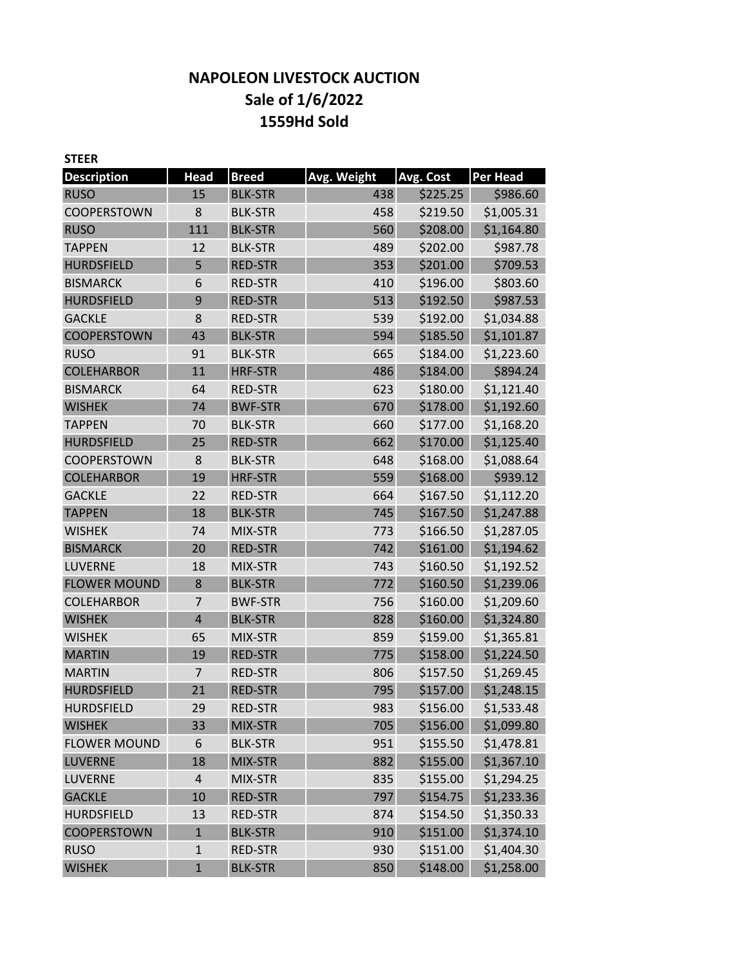# **NAPOLEON LIVESTOCK AUCTION Sale of 1/6/2022 1559Hd Sold**

| <b>STEER</b>        |                |                |             |           |                 |
|---------------------|----------------|----------------|-------------|-----------|-----------------|
| <b>Description</b>  | <b>Head</b>    | <b>Breed</b>   | Avg. Weight | Avg. Cost | <b>Per Head</b> |
| <b>RUSO</b>         | 15             | <b>BLK-STR</b> | 438         | \$225.25  | \$986.60        |
| <b>COOPERSTOWN</b>  | 8              | <b>BLK-STR</b> | 458         | \$219.50  | \$1,005.31      |
| <b>RUSO</b>         | 111            | <b>BLK-STR</b> | 560         | \$208.00  | \$1,164.80      |
| <b>TAPPEN</b>       | 12             | <b>BLK-STR</b> | 489         | \$202.00  | \$987.78        |
| <b>HURDSFIELD</b>   | 5              | <b>RED-STR</b> | 353         | \$201.00  | \$709.53        |
| <b>BISMARCK</b>     | 6              | <b>RED-STR</b> | 410         | \$196.00  | \$803.60        |
| <b>HURDSFIELD</b>   | 9              | <b>RED-STR</b> | 513         | \$192.50  | \$987.53        |
| <b>GACKLE</b>       | 8              | <b>RED-STR</b> | 539         | \$192.00  | \$1,034.88      |
| COOPERSTOWN         | 43             | <b>BLK-STR</b> | 594         | \$185.50  | \$1,101.87      |
| <b>RUSO</b>         | 91             | <b>BLK-STR</b> | 665         | \$184.00  | \$1,223.60      |
| <b>COLEHARBOR</b>   | 11             | <b>HRF-STR</b> | 486         | \$184.00  | \$894.24        |
| <b>BISMARCK</b>     | 64             | <b>RED-STR</b> | 623         | \$180.00  | \$1,121.40      |
| <b>WISHEK</b>       | 74             | <b>BWF-STR</b> | 670         | \$178.00  | \$1,192.60      |
| <b>TAPPEN</b>       | 70             | <b>BLK-STR</b> | 660         | \$177.00  | \$1,168.20      |
| <b>HURDSFIELD</b>   | 25             | <b>RED-STR</b> | 662         | \$170.00  | \$1,125.40      |
| <b>COOPERSTOWN</b>  | 8              | <b>BLK-STR</b> | 648         | \$168.00  | \$1,088.64      |
| <b>COLEHARBOR</b>   | 19             | <b>HRF-STR</b> | 559         | \$168.00  | \$939.12        |
| <b>GACKLE</b>       | 22             | <b>RED-STR</b> | 664         | \$167.50  | \$1,112.20      |
| <b>TAPPEN</b>       | 18             | <b>BLK-STR</b> | 745         | \$167.50  | \$1,247.88      |
| <b>WISHEK</b>       | 74             | MIX-STR        | 773         | \$166.50  | \$1,287.05      |
| <b>BISMARCK</b>     | 20             | <b>RED-STR</b> | 742         | \$161.00  | \$1,194.62      |
| LUVERNE             | 18             | MIX-STR        | 743         | \$160.50  | \$1,192.52      |
| <b>FLOWER MOUND</b> | 8              | <b>BLK-STR</b> | 772         | \$160.50  | \$1,239.06      |
| <b>COLEHARBOR</b>   | $\overline{7}$ | <b>BWF-STR</b> | 756         | \$160.00  | \$1,209.60      |
| <b>WISHEK</b>       | $\overline{4}$ | <b>BLK-STR</b> | 828         | \$160.00  | \$1,324.80      |
| <b>WISHEK</b>       | 65             | MIX-STR        | 859         | \$159.00  | \$1,365.81      |
| <b>MARTIN</b>       | 19             | <b>RED-STR</b> | 775         | \$158.00  | \$1,224.50      |
| <b>MARTIN</b>       | 7              | <b>RED-STR</b> | 806         | \$157.50  | \$1,269.45      |
| <b>HURDSFIELD</b>   | 21             | <b>RED-STR</b> | 795         | \$157.00  | \$1,248.15      |
| <b>HURDSFIELD</b>   | 29             | <b>RED-STR</b> | 983         | \$156.00  | \$1,533.48      |
| <b>WISHEK</b>       | 33             | MIX-STR        | 705         | \$156.00  | \$1,099.80      |
| <b>FLOWER MOUND</b> | 6              | <b>BLK-STR</b> | 951         | \$155.50  | \$1,478.81      |
| <b>LUVERNE</b>      | 18             | MIX-STR        | 882         | \$155.00  | \$1,367.10      |
| <b>LUVERNE</b>      | $\sqrt{4}$     | MIX-STR        | 835         | \$155.00  | \$1,294.25      |
| <b>GACKLE</b>       | 10             | <b>RED-STR</b> | 797         | \$154.75  | \$1,233.36      |
| <b>HURDSFIELD</b>   | 13             | <b>RED-STR</b> | 874         | \$154.50  | \$1,350.33      |
| <b>COOPERSTOWN</b>  | $\mathbf{1}$   | <b>BLK-STR</b> | 910         | \$151.00  | \$1,374.10      |
| <b>RUSO</b>         | $\mathbf 1$    | <b>RED-STR</b> | 930         | \$151.00  | \$1,404.30      |
| <b>WISHEK</b>       | $\mathbf{1}$   | <b>BLK-STR</b> | 850         | \$148.00  | \$1,258.00      |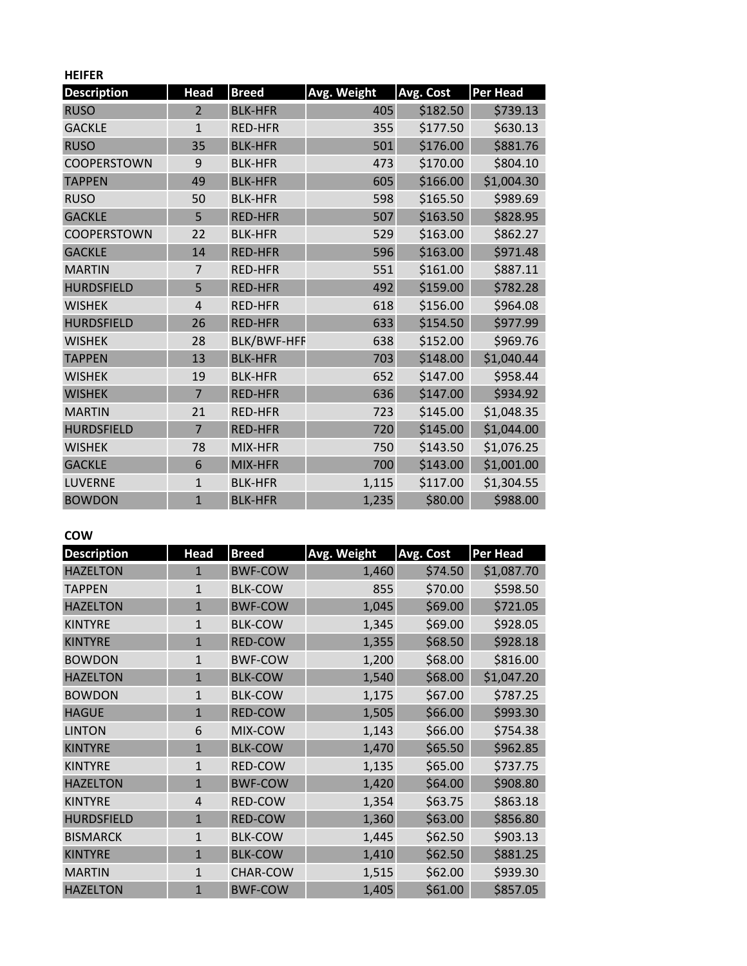| <b>HEIFER</b>      |                |                    |             |           |                 |
|--------------------|----------------|--------------------|-------------|-----------|-----------------|
| <b>Description</b> | <b>Head</b>    | <b>Breed</b>       | Avg. Weight | Avg. Cost | <b>Per Head</b> |
| <b>RUSO</b>        | $\overline{2}$ | <b>BLK-HFR</b>     | 405         | \$182.50  | \$739.13        |
| <b>GACKLE</b>      | $\mathbf{1}$   | <b>RED-HFR</b>     | 355         | \$177.50  | \$630.13        |
| <b>RUSO</b>        | 35             | <b>BLK-HFR</b>     | 501         | \$176.00  | \$881.76        |
| <b>COOPERSTOWN</b> | 9              | <b>BLK-HFR</b>     | 473         | \$170.00  | \$804.10        |
| <b>TAPPEN</b>      | 49             | <b>BLK-HFR</b>     | 605         | \$166.00  | \$1,004.30      |
| <b>RUSO</b>        | 50             | <b>BLK-HFR</b>     | 598         | \$165.50  | \$989.69        |
| <b>GACKLE</b>      | 5              | <b>RED-HFR</b>     | 507         | \$163.50  | \$828.95        |
| <b>COOPERSTOWN</b> | 22             | <b>BLK-HFR</b>     | 529         | \$163.00  | \$862.27        |
| <b>GACKLE</b>      | 14             | <b>RED-HFR</b>     | 596         | \$163.00  | \$971.48        |
| <b>MARTIN</b>      | $\overline{7}$ | <b>RED-HFR</b>     | 551         | \$161.00  | \$887.11        |
| <b>HURDSFIELD</b>  | 5              | <b>RED-HFR</b>     | 492         | \$159.00  | \$782.28        |
| <b>WISHEK</b>      | $\overline{4}$ | <b>RED-HFR</b>     | 618         | \$156.00  | \$964.08        |
| <b>HURDSFIELD</b>  | 26             | <b>RED-HFR</b>     | 633         | \$154.50  | \$977.99        |
| <b>WISHEK</b>      | 28             | <b>BLK/BWF-HFF</b> | 638         | \$152.00  | \$969.76        |
| <b>TAPPEN</b>      | 13             | <b>BLK-HFR</b>     | 703         | \$148.00  | \$1,040.44      |
| <b>WISHEK</b>      | 19             | <b>BLK-HFR</b>     | 652         | \$147.00  | \$958.44        |
| <b>WISHEK</b>      | $\overline{7}$ | <b>RED-HFR</b>     | 636         | \$147.00  | \$934.92        |
| <b>MARTIN</b>      | 21             | <b>RED-HFR</b>     | 723         | \$145.00  | \$1,048.35      |
| <b>HURDSFIELD</b>  | $\overline{7}$ | <b>RED-HFR</b>     | 720         | \$145.00  | \$1,044.00      |
| <b>WISHEK</b>      | 78             | MIX-HFR            | 750         | \$143.50  | \$1,076.25      |
| <b>GACKLE</b>      | 6              | MIX-HFR            | 700         | \$143.00  | \$1,001.00      |
| <b>LUVERNE</b>     | $\mathbf{1}$   | <b>BLK-HFR</b>     | 1,115       | \$117.00  | \$1,304.55      |
| <b>BOWDON</b>      | $\mathbf{1}$   | <b>BLK-HFR</b>     | 1,235       | \$80.00   | \$988.00        |

## **COW**

| <b>Description</b> | Head         | <b>Breed</b>    | Avg. Weight | Avg. Cost | <b>Per Head</b> |
|--------------------|--------------|-----------------|-------------|-----------|-----------------|
| <b>HAZELTON</b>    | 1            | <b>BWF-COW</b>  | 1,460       | \$74.50   | \$1,087.70      |
| <b>TAPPEN</b>      | $\mathbf{1}$ | <b>BLK-COW</b>  | 855         | \$70.00   | \$598.50        |
| <b>HAZELTON</b>    | $\mathbf{1}$ | <b>BWF-COW</b>  | 1,045       | \$69.00   | \$721.05        |
| <b>KINTYRE</b>     | $\mathbf{1}$ | <b>BLK-COW</b>  | 1,345       | \$69.00   | \$928.05        |
| <b>KINTYRE</b>     | $\mathbf{1}$ | <b>RED-COW</b>  | 1,355       | \$68.50   | \$928.18        |
| <b>BOWDON</b>      | $\mathbf{1}$ | <b>BWF-COW</b>  | 1,200       | \$68.00   | \$816.00        |
| <b>HAZELTON</b>    | $\mathbf{1}$ | <b>BLK-COW</b>  | 1,540       | \$68.00   | \$1,047.20      |
| <b>BOWDON</b>      | $\mathbf{1}$ | <b>BLK-COW</b>  | 1,175       | \$67.00   | \$787.25        |
| <b>HAGUE</b>       | $\mathbf{1}$ | <b>RED-COW</b>  | 1,505       | \$66.00   | \$993.30        |
| <b>LINTON</b>      | 6            | MIX-COW         | 1,143       | \$66.00   | \$754.38        |
| <b>KINTYRE</b>     | $\mathbf{1}$ | <b>BLK-COW</b>  | 1,470       | \$65.50   | \$962.85        |
| <b>KINTYRE</b>     | $\mathbf{1}$ | RED-COW         | 1,135       | \$65.00   | \$737.75        |
| <b>HAZELTON</b>    | $\mathbf{1}$ | <b>BWF-COW</b>  | 1,420       | \$64.00   | \$908.80        |
| <b>KINTYRE</b>     | 4            | RED-COW         | 1,354       | \$63.75   | \$863.18        |
| <b>HURDSFIELD</b>  | $\mathbf{1}$ | <b>RED-COW</b>  | 1,360       | \$63.00   | \$856.80        |
| <b>BISMARCK</b>    | $\mathbf{1}$ | <b>BLK-COW</b>  | 1,445       | \$62.50   | \$903.13        |
| <b>KINTYRE</b>     | $\mathbf{1}$ | <b>BLK-COW</b>  | 1,410       | \$62.50   | \$881.25        |
| <b>MARTIN</b>      | $\mathbf{1}$ | <b>CHAR-COW</b> | 1,515       | \$62.00   | \$939.30        |
| <b>HAZELTON</b>    | $\mathbf{1}$ | <b>BWF-COW</b>  | 1,405       | \$61.00   | \$857.05        |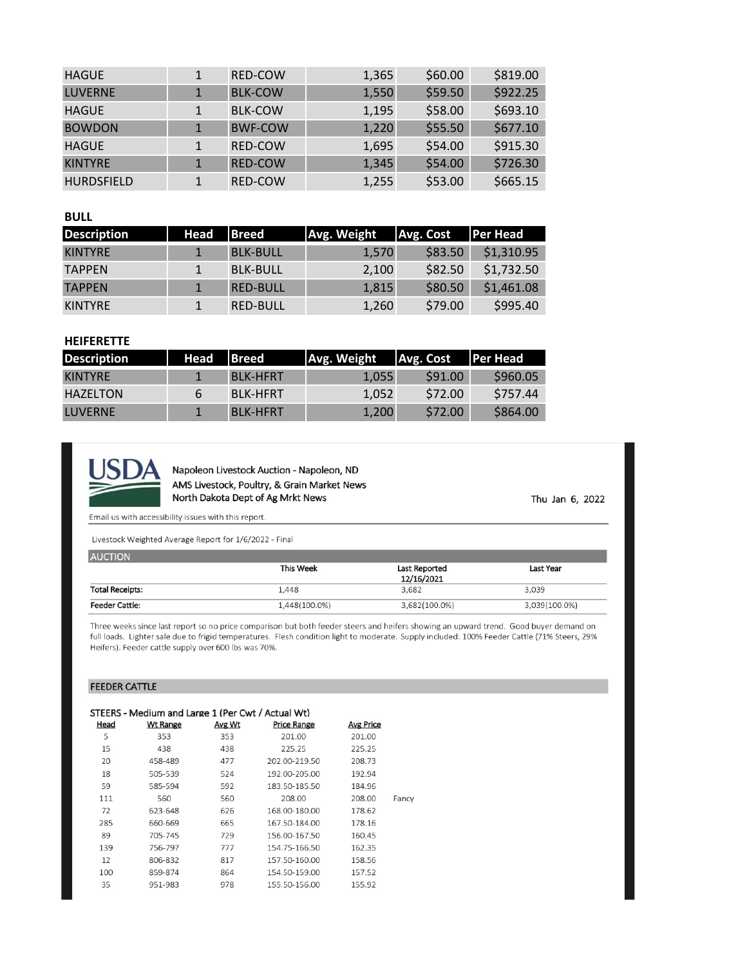| <b>HAGUE</b>      | <b>RED-COW</b> | 1,365 | \$60.00 | \$819.00 |
|-------------------|----------------|-------|---------|----------|
| <b>LUVERNE</b>    | <b>BLK-COW</b> | 1,550 | \$59.50 | \$922.25 |
| <b>HAGUE</b>      | <b>BLK-COW</b> | 1,195 | \$58.00 | \$693.10 |
| <b>BOWDON</b>     | <b>BWF-COW</b> | 1,220 | \$55.50 | \$677.10 |
| <b>HAGUE</b>      | <b>RED-COW</b> | 1,695 | \$54.00 | \$915.30 |
| <b>KINTYRE</b>    | <b>RED-COW</b> | 1,345 | \$54.00 | \$726.30 |
| <b>HURDSFIELD</b> | <b>RED-COW</b> | 1,255 | \$53.00 | \$665.15 |

### **BULL**

| <b>Description</b> | Head | <b>IBreed</b>   | Avg. Weight | Avg. Cost | <b>Per Head</b> |
|--------------------|------|-----------------|-------------|-----------|-----------------|
| <b>KINTYRE</b>     |      | <b>BLK-BULL</b> | 1.570       | \$83.50   | \$1,310.95      |
| <b>TAPPEN</b>      |      | <b>BLK-BULL</b> | 2,100       | \$82.50   | \$1,732.50      |
| <b>TAPPEN</b>      |      | <b>RED-BULL</b> | 1,815       | \$80.50   | \$1,461.08      |
| <b>KINTYRE</b>     |      | <b>RED-BULL</b> | 1,260       | \$79.00   | \$995.40        |

## **HEIFERETTE**

| <b>Description</b> | Head | <b>IBreed</b>   | Avg. Weight | Avg. Cost | <b>IPer Head</b> |
|--------------------|------|-----------------|-------------|-----------|------------------|
| <b>KINTYRE</b>     |      | <b>BLK-HFRT</b> | 1.055       | \$91.00   | \$960.05         |
| HAZELTON           | b    | <b>BLK-HFRT</b> | 1.052       | \$72.00   | S757.44          |
| LUVERNE            |      | <b>BLK-HFRT</b> | 1,200       | \$72.00   | \$864.00         |



Napoleon Livestock Auction - Napoleon, ND AMS Livestock, Poultry, & Grain Market News North Dakota Dept of Ag Mrkt News

Thu Jan 6, 2022

Email us with accessibility issues with this report.

Livestock Weighted Average Report for 1/6/2022 - Final

| <b>AUCTION</b>         |               |               |               |
|------------------------|---------------|---------------|---------------|
|                        | This Week     | Last Reported | Last Year     |
|                        |               | 12/16/2021    |               |
| <b>Total Receipts:</b> | 1,448         | 3.682         | 3,039         |
| <b>Feeder Cattle:</b>  | 1,448(100.0%) | 3,682(100.0%) | 3,039(100.0%) |

Three weeks since last report so no price comparison but both feeder steers and heifers showing an upward trend. Good buyer demand on full loads. Lighter sale due to frigid temperatures. Flesh condition light to moderate. Supply included: 100% Feeder Cattle (71% Steers, 29% Heifers). Feeder cattle supply over 600 lbs was 70%.

#### **FEEDER CATTLE**

|      | STEERS - Medium and Large 1 (Per Cwt / Actual Wt) |        |                    |           |       |
|------|---------------------------------------------------|--------|--------------------|-----------|-------|
| Head | <b>Wt Range</b>                                   | Avg Wt | <b>Price Range</b> | Avg Price |       |
| 5    | 353                                               | 353    | 201.00             | 201.00    |       |
| 15   | 438                                               | 438    | 225.25             | 225.25    |       |
| 20   | 458-489                                           | 477    | 202.00-219.50      | 208.73    |       |
| 18   | 505-539                                           | 524    | 192.00-205.00      | 192.94    |       |
| 59   | 585-594                                           | 592    | 183.50-185.50      | 184.96    |       |
| 111  | 560                                               | 560    | 208.00             | 208.00    | Fancy |
| 72   | 623-648                                           | 626    | 168.00-180.00      | 178.62    |       |
| 285  | 660-669                                           | 665    | 167.50-184.00      | 178.16    |       |
| 89   | 705-745                                           | 729    | 156.00-167.50      | 160.45    |       |
| 139  | 756-797                                           | 777    | 154.75-166.50      | 162.35    |       |
| 12   | 806-832                                           | 817    | 157.50-160.00      | 158.56    |       |
| 100  | 859-874                                           | 864    | 154.50-159.00      | 157.52    |       |
| 35   | 951-983                                           | 978    | 155.50-156.00      | 155.92    |       |